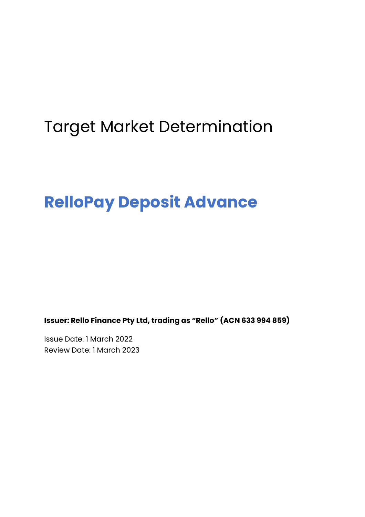# Target Market Determination

# **RelloPay Deposit Advance**

**Issuer: Rello Finance Pty Ltd, trading as "Rello" (ACN 633 994 859)**

Issue Date: 1 March 2022 Review Date: 1 March 2023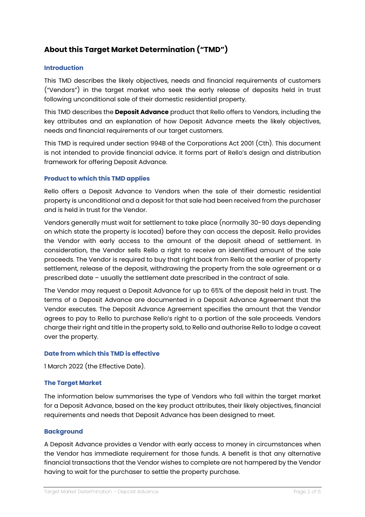# **About this Target Market Determination ("TMD")**

### **Introduction**

This TMD describes the likely objectives, needs and financial requirements of customers ("Vendors") in the target market who seek the early release of deposits held in trust following unconditional sale of their domestic residential property.

This TMD describes the **Deposit Advance** product that Rello offers to Vendors, including the key attributes and an explanation of how Deposit Advance meets the likely objectives, needs and financial requirements of our target customers.

This TMD is required under section 994B of the Corporations Act 2001 (Cth). This document is not intended to provide financial advice. It forms part of Rello's design and distribution framework for offering Deposit Advance.

# **Product to which this TMD applies**

Rello offers a Deposit Advance to Vendors when the sale of their domestic residential property is unconditional and a deposit for that sale had been received from the purchaser and is held in trust for the Vendor.

Vendors generally must wait for settlement to take place (normally 30-90 days depending on which state the property is located) before they can access the deposit. Rello provides the Vendor with early access to the amount of the deposit ahead of settlement. In consideration, the Vendor sells Rello a right to receive an identified amount of the sale proceeds. The Vendor is required to buy that right back from Rello at the earlier of property settlement, release of the deposit, withdrawing the property from the sale agreement or a prescribed date – usually the settlement date prescribed in the contract of sale.

The Vendor may request a Deposit Advance for up to 65% of the deposit held in trust. The terms of a Deposit Advance are documented in a Deposit Advance Agreement that the Vendor executes. The Deposit Advance Agreement specifies the amount that the Vendor agrees to pay to Rello to purchase Rello's right to a portion of the sale proceeds. Vendors charge their right and title in the property sold, to Rello and authorise Rello to lodge a caveat over the property.

#### **Date from which this TMD is effective**

1 March 2022 (the Effective Date).

#### **The Target Market**

The information below summarises the type of Vendors who fall within the target market for a Deposit Advance, based on the key product attributes, their likely objectives, financial requirements and needs that Deposit Advance has been designed to meet.

#### **Background**

A Deposit Advance provides a Vendor with early access to money in circumstances when the Vendor has immediate requirement for those funds. A benefit is that any alternative financial transactions that the Vendor wishes to complete are not hampered by the Vendor having to wait for the purchaser to settle the property purchase.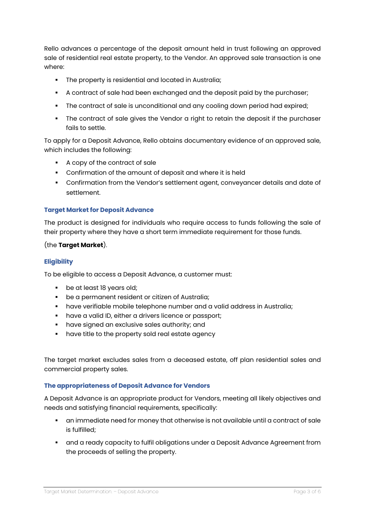Rello advances a percentage of the deposit amount held in trust following an approved sale of residential real estate property, to the Vendor. An approved sale transaction is one where:

- The property is residential and located in Australia;
- § A contract of sale had been exchanged and the deposit paid by the purchaser;
- The contract of sale is unconditional and any cooling down period had expired;
- The contract of sale gives the Vendor a right to retain the deposit if the purchaser fails to settle.

To apply for a Deposit Advance, Rello obtains documentary evidence of an approved sale, which includes the following:

- § A copy of the contract of sale
- **•** Confirmation of the amount of deposit and where it is held
- § Confirmation from the Vendor's settlement agent, conveyancer details and date of settlement.

# **Target Market for Deposit Advance**

The product is designed for individuals who require access to funds following the sale of their property where they have a short term immediate requirement for those funds.

# (the **Target Market**).

# **Eligibility**

To be eligible to access a Deposit Advance, a customer must:

- be at least 18 years old;
- **•** be a permanent resident or citizen of Australia;
- § have verifiable mobile telephone number and a valid address in Australia;
- **have a valid ID, either a drivers licence or passport;**
- **•** have signed an exclusive sales authority; and
- **•** have title to the property sold real estate agency

The target market excludes sales from a deceased estate, off plan residential sales and commercial property sales.

# **The appropriateness of Deposit Advance for Vendors**

A Deposit Advance is an appropriate product for Vendors, meeting all likely objectives and needs and satisfying financial requirements, specifically:

- § an immediate need for money that otherwise is not available until a contract of sale is fulfilled;
- § and a ready capacity to fulfil obligations under a Deposit Advance Agreement from the proceeds of selling the property.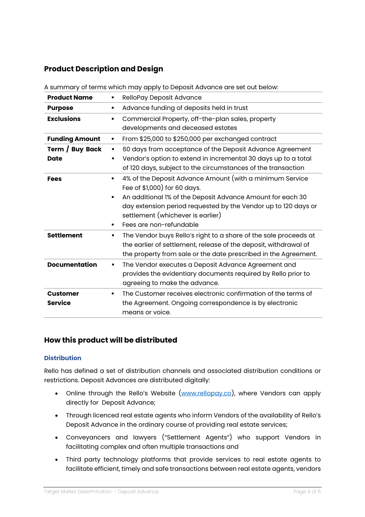# **Product Description and Design**

A summary of terms which may apply to Deposit Advance are set out below:

| <b>Product Name</b>               | RelloPay Deposit Advance                                                                                                                                                                                                                                                                                             |
|-----------------------------------|----------------------------------------------------------------------------------------------------------------------------------------------------------------------------------------------------------------------------------------------------------------------------------------------------------------------|
| <b>Purpose</b>                    | Advance funding of deposits held in trust<br>٠                                                                                                                                                                                                                                                                       |
| <b>Exclusions</b>                 | Commercial Property, off-the-plan sales, property<br>$\blacksquare$<br>developments and deceased estates                                                                                                                                                                                                             |
| <b>Funding Amount</b>             | From \$25,000 to \$250,000 per exchanged contract<br>٠                                                                                                                                                                                                                                                               |
| Term / Buy Back<br><b>Date</b>    | 60 days from acceptance of the Deposit Advance Agreement<br>٠<br>Vendor's option to extend in incremental 30 days up to a total<br>$\blacksquare$<br>of 120 days, subject to the circumstances of the transaction                                                                                                    |
| <b>Fees</b>                       | 4% of the Deposit Advance Amount (with a minimum Service<br>٠<br>Fee of \$1,000) for 60 days.<br>An additional 1% of the Deposit Advance Amount for each 30<br>$\blacksquare$<br>day extension period requested by the Vendor up to 120 days or<br>settlement (whichever is earlier)<br>Fees are non-refundable<br>٠ |
| <b>Settlement</b>                 | The Vendor buys Rello's right to a share of the sale proceeds at<br>٠<br>the earlier of settlement, release of the deposit, withdrawal of<br>the property from sale or the date prescribed in the Agreement.                                                                                                         |
| <b>Documentation</b>              | The Vendor executes a Deposit Advance Agreement and<br>п<br>provides the evidentiary documents required by Rello prior to<br>agreeing to make the advance.                                                                                                                                                           |
| <b>Customer</b><br><b>Service</b> | The Customer receives electronic confirmation of the terms of<br>п<br>the Agreement. Ongoing correspondence is by electronic<br>means or voice.                                                                                                                                                                      |

# **How this product will be distributed**

# **Distribution**

Rello has defined a set of distribution channels and associated distribution conditions or restrictions. Deposit Advances are distributed digitally:

- Online through the Rello's Website (www.rellopay.co), where Vendors can apply directly for Deposit Advance;
- Through licenced real estate agents who inform Vendors of the availability of Rello's Deposit Advance in the ordinary course of providing real estate services;
- Conveyancers and lawyers ("Settlement Agents") who support Vendors in facilitating complex and often multiple transactions and
- Third party technology platforms that provide services to real estate agents to facilitate efficient, timely and safe transactions between real estate agents, vendors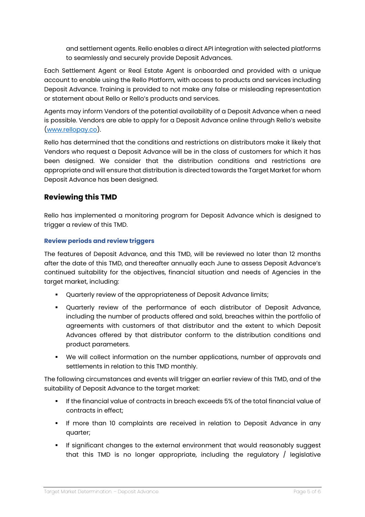and settlement agents. Rello enables a direct API integration with selected platforms to seamlessly and securely provide Deposit Advances.

Each Settlement Agent or Real Estate Agent is onboarded and provided with a unique account to enable using the Rello Platform, with access to products and services including Deposit Advance. Training is provided to not make any false or misleading representation or statement about Rello or Rello's products and services.

Agents may inform Vendors of the potential availability of a Deposit Advance when a need is possible. Vendors are able to apply for a Deposit Advance online through Rello's website (www.rellopay.co).

Rello has determined that the conditions and restrictions on distributors make it likely that Vendors who request a Deposit Advance will be in the class of customers for which it has been designed. We consider that the distribution conditions and restrictions are appropriate and will ensure that distribution is directed towards the Target Market for whom Deposit Advance has been designed.

# **Reviewing this TMD**

Rello has implemented a monitoring program for Deposit Advance which is designed to trigger a review of this TMD.

# **Review periods and review triggers**

The features of Deposit Advance, and this TMD, will be reviewed no later than 12 months after the date of this TMD, and thereafter annually each June to assess Deposit Advance's continued suitability for the objectives, financial situation and needs of Agencies in the target market, including:

- § Quarterly review of the appropriateness of Deposit Advance limits;
- § Quarterly review of the performance of each distributor of Deposit Advance, including the number of products offered and sold, breaches within the portfolio of agreements with customers of that distributor and the extent to which Deposit Advances offered by that distributor conform to the distribution conditions and product parameters.
- We will collect information on the number applications, number of approvals and settlements in relation to this TMD monthly.

The following circumstances and events will trigger an earlier review of this TMD, and of the suitability of Deposit Advance to the target market:

- **•** If the financial value of contracts in breach exceeds 5% of the total financial value of contracts in effect;
- **•** If more than 10 complaints are received in relation to Deposit Advance in any quarter;
- § If significant changes to the external environment that would reasonably suggest that this TMD is no longer appropriate, including the regulatory / legislative